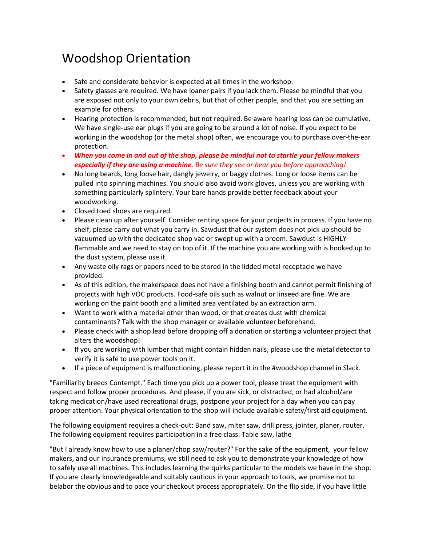## Woodshop Orientation

- Safe and considerate behavior is expected at all times in the workshop.
- Safety glasses are required. We have loaner pairs if you lack them. Please be mindful that you are exposed not only to your own debris, but that of other people, and that you are setting an example for others.
- Hearing protection is recommended, but not required. Be aware hearing loss can be cumulative. We have single-use ear plugs if you are going to be around a lot of noise. If you expect to be working in the woodshop (or the metal shop) often, we encourage you to purchase over-the-ear protection.
- When you come in and out of the shop, please be mindful not to startle your fellow makers **especially if they are using a machine**. Be sure they see or hear you before approaching!
- No long beards, long loose hair, dangly jewelry, or baggy clothes. Long or loose items can be pulled into spinning machines. You should also avoid work gloves, unless you are working with something particularly splintery. Your bare hands provide better feedback about your woodworking.
- Closed toed shoes are required.
- Please clean up after yourself. Consider renting space for your projects in process. If you have no shelf, please carry out what you carry in. Sawdust that our system does not pick up should be vacuumed up with the dedicated shop vac or swept up with a broom. Sawdust is HIGHLY flammable and we need to stay on top of it. If the machine you are working with is hooked up to the dust system, please use it.
- Any waste oily rags or papers need to be stored in the lidded metal receptacle we have provided.
- As of this edition, the makerspace does not have a finishing booth and cannot permit finishing of projects with high VOC products. Food-safe oils such as walnut or linseed are fine. We are working on the paint booth and a limited area ventilated by an extraction arm.
- Want to work with a material other than wood, or that creates dust with chemical contaminants? Talk with the shop manager or available volunteer beforehand.
- Please check with a shop lead before dropping off a donation or starting a volunteer project that alters the woodshop!
- If you are working with lumber that might contain hidden nails, please use the metal detector to verify it is safe to use power tools on it.
- If a piece of equipment is malfunctioning, please report it in the #woodshop channel in Slack.

"Familiarity breeds Contempt." Each time you pick up a power tool, please treat the equipment with respect and follow proper procedures. And please, if you are sick, or distracted, or had alcohol/are taking medication/have used recreational drugs, postpone your project for a day when you can pay proper attention. Your physical orientation to the shop will include available safety/first aid equipment.

The following equipment requires a check-out: Band saw, miter saw, drill press, jointer, planer, router. The following equipment requires participation in a free class: Table saw, lathe

"But I already know how to use a planer/chop saw/router?" For the sake of the equipment, your fellow makers, and our insurance premiums, we still need to ask you to demonstrate your knowledge of how to safely use all machines. This includes learning the quirks particular to the models we have in the shop. If you are clearly knowledgeable and suitably cautious in your approach to tools, we promise not to belabor the obvious and to pace your checkout process appropriately. On the flip side, if you have little